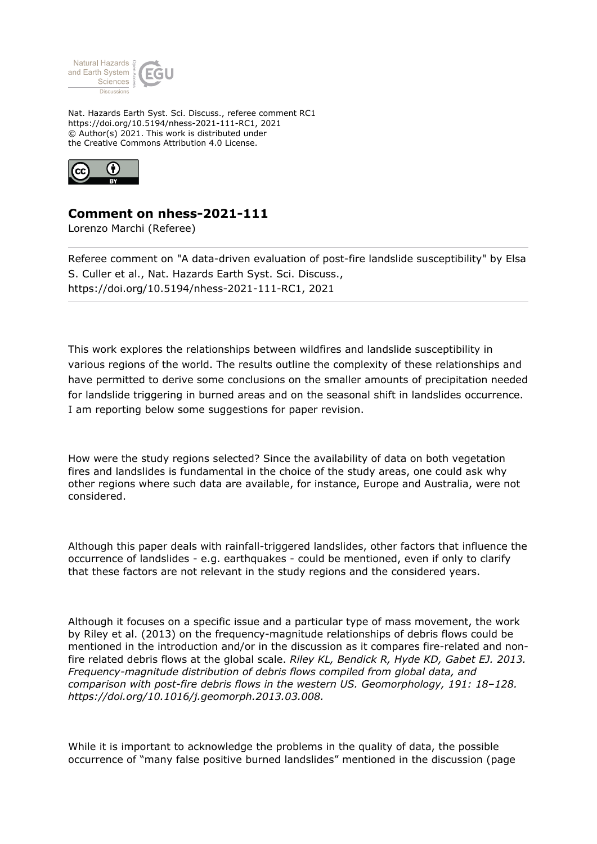

Nat. Hazards Earth Syst. Sci. Discuss., referee comment RC1 https://doi.org/10.5194/nhess-2021-111-RC1, 2021 © Author(s) 2021. This work is distributed under the Creative Commons Attribution 4.0 License.



## **Comment on nhess-2021-111**

Lorenzo Marchi (Referee)

Referee comment on "A data-driven evaluation of post-fire landslide susceptibility" by Elsa S. Culler et al., Nat. Hazards Earth Syst. Sci. Discuss., https://doi.org/10.5194/nhess-2021-111-RC1, 2021

This work explores the relationships between wildfires and landslide susceptibility in various regions of the world. The results outline the complexity of these relationships and have permitted to derive some conclusions on the smaller amounts of precipitation needed for landslide triggering in burned areas and on the seasonal shift in landslides occurrence. I am reporting below some suggestions for paper revision.

How were the study regions selected? Since the availability of data on both vegetation fires and landslides is fundamental in the choice of the study areas, one could ask why other regions where such data are available, for instance, Europe and Australia, were not considered.

Although this paper deals with rainfall-triggered landslides, other factors that influence the occurrence of landslides - e.g. earthquakes - could be mentioned, even if only to clarify that these factors are not relevant in the study regions and the considered years.

Although it focuses on a specific issue and a particular type of mass movement, the work by Riley et al. (2013) on the frequency-magnitude relationships of debris flows could be mentioned in the introduction and/or in the discussion as it compares fire-related and nonfire related debris flows at the global scale. *Riley KL, Bendick R, Hyde KD, Gabet EJ. 2013. Frequency-magnitude distribution of debris flows compiled from global data, and comparison with post-fire debris flows in the western US. Geomorphology, 191: 18–128. https://doi.org/10.1016/j.geomorph.2013.03.008.*

While it is important to acknowledge the problems in the quality of data, the possible occurrence of "many false positive burned landslides" mentioned in the discussion (page